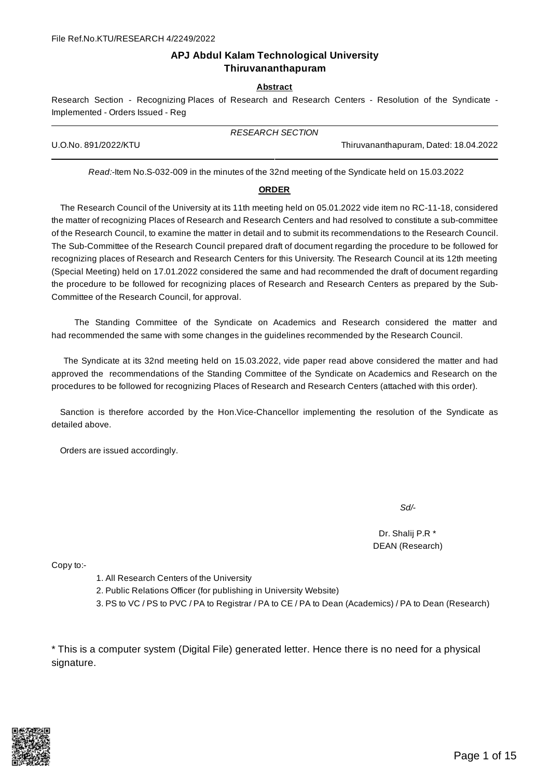#### **APJ Abdul Kalam Technological University Thiruvananthapuram**

#### **Abstract**

Research Section - Recognizing Places of Research and Research Centers - Resolution of the Syndicate - Implemented - Orders Issued - Reg

|                      | <b>RESEARCH SECTION</b> |                                       |  |
|----------------------|-------------------------|---------------------------------------|--|
| U.O.No. 891/2022/KTU |                         | Thiruvananthapuram, Dated: 18.04.2022 |  |

*Read:-*Item No.S-032-009 in the minutes of the 32nd meeting of the Syndicate held on 15.03.2022

#### **ORDER**

The Research Council of the University at its 11th meeting held on 05.01.2022 vide item no RC-11-18, considered the matter of recognizing Places of Research and Research Centers and had resolved to constitute a sub-committee of the Research Council, to examine the matter in detail and to submit its recommendations to the Research Council. The Sub-Committee of the Research Council prepared draft of document regarding the procedure to be followed for recognizing places of Research and Research Centers for this University. The Research Council at its 12th meeting (Special Meeting) held on 17.01.2022 considered the same and had recommended the draft of document regarding the procedure to be followed for recognizing places of Research and Research Centers as prepared by the Sub-Committee of the Research Council, for approval.

The Standing Committee of the Syndicate on Academics and Research considered the matter and had recommended the same with some changes in the guidelines recommended by the Research Council.

The Syndicate at its 32nd meeting held on 15.03.2022, vide paper read above considered the matter and had approved the recommendations of the Standing Committee of the Syndicate on Academics and Research on the procedures to be followed for recognizing Places of Research and Research Centers (attached with this order).

Sanction is therefore accorded by the Hon.Vice-Chancellor implementing the resolution of the Syndicate as detailed above.

Orders are issued accordingly.

*Sd/-*

Dr. Shalij P.R \* DEAN (Research)

Copy to:-

- 1. All Research Centers of the University
- 2. Public Relations Officer (for publishing in University Website)
- 3. PS to VC / PS to PVC / PA to Registrar / PA to CE / PA to Dean (Academics) / PA to Dean (Research)

\* This is a computer system (Digital File) generated letter. Hence there is no need for a physical signature.

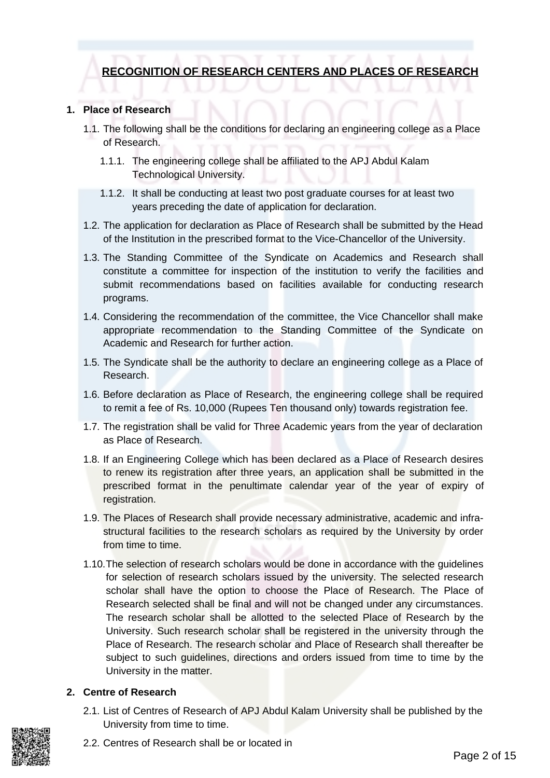# **RECOGNITION OF RESEARCH CENTERS AND PLACES OF RESEARCH**

### **1. Place of Research**

- 1.1. The following shall be the conditions for declaring an engineering college as a Place of Research.
	- 1.1.1. The engineering college shall be affiliated to the APJ Abdul Kalam Technological University.
	- 1.1.2. It shall be conducting at least two post graduate courses for at least two years preceding the date of application for declaration.
- 1.2. The application for declaration as Place of Research shall be submitted by the Head of the Institution in the prescribed format to the Vice-Chancellor of the University.
- 1.3. The Standing Committee of the Syndicate on Academics and Research shall constitute a committee for inspection of the institution to verify the facilities and submit recommendations based on facilities available for conducting research programs.
- 1.4. Considering the recommendation of the committee, the Vice Chancellor shall make appropriate recommendation to the Standing Committee of the Syndicate on Academic and Research for further action.
- 1.5. The Syndicate shall be the authority to declare an engineering college as a Place of Research.
- 1.6. Before declaration as Place of Research, the engineering college shall be required to remit a fee of Rs. 10,000 (Rupees Ten thousand only) towards registration fee.
- 1.7. The registration shall be valid for Three Academic years from the year of declaration as Place of Research.
- 1.8. If an Engineering College which has been declared as a Place of Research desires to renew its registration after three years, an application shall be submitted in the prescribed format in the penultimate calendar year of the year of expiry of registration.
- 1.9. The Places of Research shall provide necessary administrative, academic and infrastructural facilities to the research scholars as required by the University by order from time to time.
- 1.10.The selection of research scholars would be done in accordance with the guidelines for selection of research scholars issued by the university. The selected research scholar shall have the option to choose the Place of Research. The Place of Research selected shall be final and will not be changed under any circumstances. The research scholar shall be allotted to the selected Place of Research by the University. Such research scholar shall be registered in the university through the Place of Research. The research scholar and Place of Research shall thereafter be subject to such guidelines, directions and orders issued from time to time by the University in the matter.

## **2. Centre of Research**

2.1. List of Centres of Research of APJ Abdul Kalam University shall be published by the University from time to time.

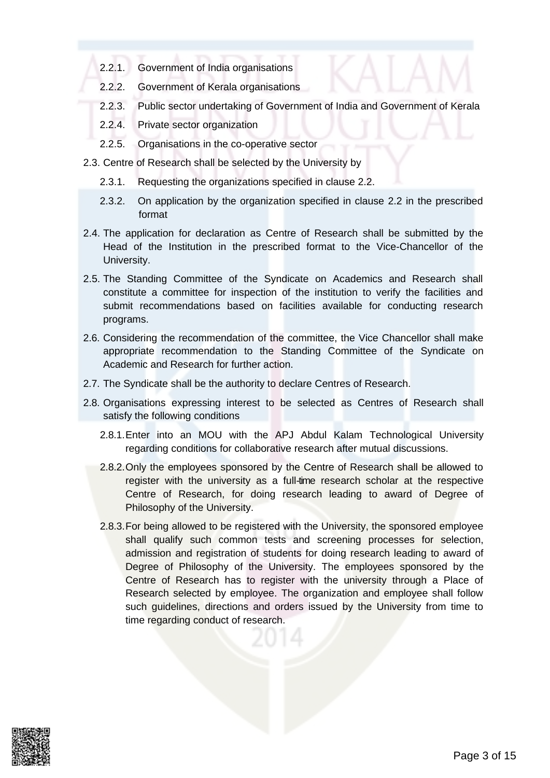- 2.2.1. Government of India organisations
- 2.2.2. Government of Kerala organisations
- 2.2.3. Public sector undertaking of Government of India and Government of Kerala
- 2.2.4. Private sector organization
- 2.2.5. Organisations in the co-operative sector
- 2.3. Centre of Research shall be selected by the University by
	- 2.3.1. Requesting the organizations specified in clause 2.2.
	- 2.3.2. On application by the organization specified in clause 2.2 in the prescribed format
- 2.4. The application for declaration as Centre of Research shall be submitted by the Head of the Institution in the prescribed format to the Vice-Chancellor of the University.
- 2.5. The Standing Committee of the Syndicate on Academics and Research shall constitute a committee for inspection of the institution to verify the facilities and submit recommendations based on facilities available for conducting research programs.
- 2.6. Considering the recommendation of the committee, the Vice Chancellor shall make appropriate recommendation to the Standing Committee of the Syndicate on Academic and Research for further action.
- 2.7. The Syndicate shall be the authority to declare Centres of Research.
- 2.8. Organisations expressing interest to be selected as Centres of Research shall satisfy the following conditions
	- 2.8.1.Enter into an MOU with the APJ Abdul Kalam Technological University regarding conditions for collaborative research after mutual discussions.
	- 2.8.2.Only the employees sponsored by the Centre of Research shall be allowed to register with the university as a full-time research scholar at the respective Centre of Research, for doing research leading to award of Degree of Philosophy of the University.
	- 2.8.3.For being allowed to be registered with the University, the sponsored employee shall qualify such common tests and screening processes for selection, admission and registration of students for doing research leading to award of Degree of Philosophy of the University. The employees sponsored by the Centre of Research has to register with the university through a Place of Research selected by employee. The organization and employee shall follow such guidelines, directions and orders issued by the University from time to time regarding conduct of research.

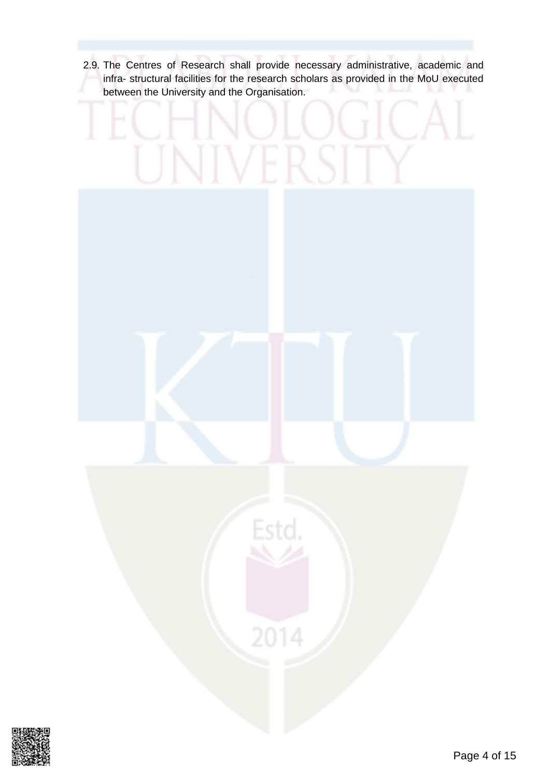2.9. The Centres of Research shall provide necessary administrative, academic and infra- structural facilities for the research scholars as provided in the MoU executed between the University and the Organisation.



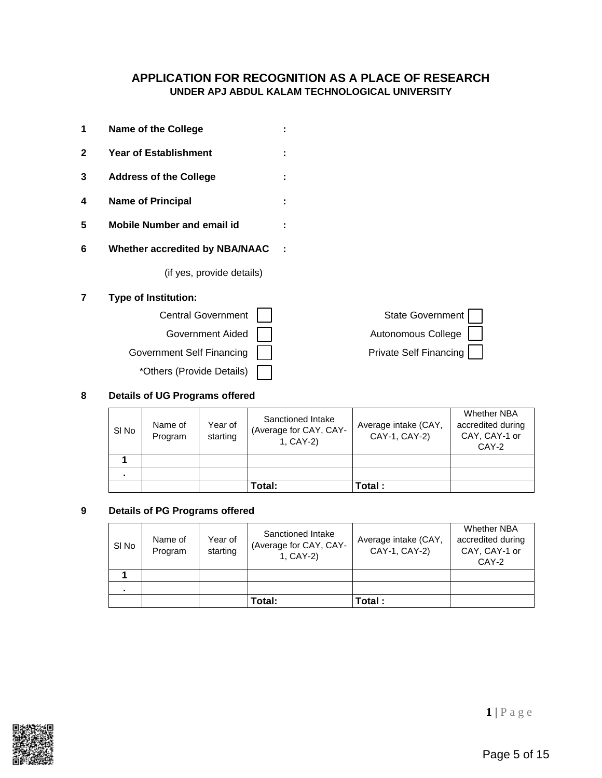### **APPLICATION FOR RECOGNITION AS A PLACE OF RESEARCH UNDER APJ ABDUL KALAM TECHNOLOGICAL UNIVERSITY**

- **1 Name of the College : 2 Year of Establishment : 3 Address of the College : 4 Name of Principal :**
- **5 Mobile Number and email id :**
- **6 Whether accredited by NBA/NAAC :**

(if yes, provide details)

#### **7 Type of Institution:**



#### **8 Details of UG Programs offered**

| State Government $\Box$ |  |
|-------------------------|--|
| Autonomous College      |  |
| Private Self Financing  |  |

| SI No | Name of<br>Program | Year of<br>starting | Sanctioned Intake<br>(Average for CAY, CAY-<br>1, CAY-2) | Average intake (CAY,<br>CAY-1, CAY-2) | <b>Whether NBA</b><br>accredited during<br>CAY, CAY-1 or<br>CAY-2 |
|-------|--------------------|---------------------|----------------------------------------------------------|---------------------------------------|-------------------------------------------------------------------|
|       |                    |                     |                                                          |                                       |                                                                   |
|       |                    |                     |                                                          |                                       |                                                                   |
|       |                    |                     | Total:                                                   | Total :                               |                                                                   |

#### **9 Details of PG Programs offered**

| SI No | Name of<br>Program | Year of<br>starting | Sanctioned Intake<br>(Average for CAY, CAY-<br>1, CAY-2) | Average intake (CAY,<br>CAY-1, CAY-2) | <b>Whether NBA</b><br>accredited during<br>CAY, CAY-1 or<br>CAY-2 |
|-------|--------------------|---------------------|----------------------------------------------------------|---------------------------------------|-------------------------------------------------------------------|
|       |                    |                     |                                                          |                                       |                                                                   |
|       |                    |                     |                                                          |                                       |                                                                   |
|       |                    |                     | Total:                                                   | Total:                                |                                                                   |



**1** | P a g e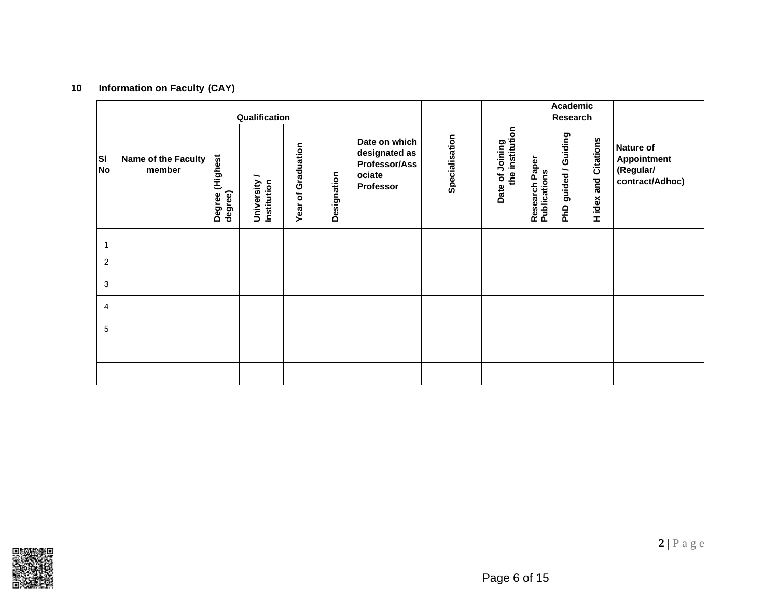# **10 Information on Faculty (CAY)**

|                |                               | Qualification                 |                           |                                               |             |                                                                                      |                |                                    | Academic<br>Research                  |                                   |                             |                                                                 |
|----------------|-------------------------------|-------------------------------|---------------------------|-----------------------------------------------|-------------|--------------------------------------------------------------------------------------|----------------|------------------------------------|---------------------------------------|-----------------------------------|-----------------------------|-----------------------------------------------------------------|
| lsı<br>No      | Name of the Faculty<br>member | (Highest<br>degree)<br>Degree | University<br>Institution | Graduation<br>$\overline{\mathbf{o}}$<br>Year | Designation | Date on which<br>designated as<br><b>Professor/Ass</b><br>ociate<br><b>Professor</b> | Specialisation | the institution<br>Date of Joining | <b>Research Paper</b><br>Publications | Guiding<br>guided /<br><b>OVG</b> | <b>H</b> idex and Citations | <b>Nature of</b><br>Appointment<br>(Regular/<br>contract/Adhoc) |
| $\mathbf{1}$   |                               |                               |                           |                                               |             |                                                                                      |                |                                    |                                       |                                   |                             |                                                                 |
| $\overline{2}$ |                               |                               |                           |                                               |             |                                                                                      |                |                                    |                                       |                                   |                             |                                                                 |
| 3              |                               |                               |                           |                                               |             |                                                                                      |                |                                    |                                       |                                   |                             |                                                                 |
| 4              |                               |                               |                           |                                               |             |                                                                                      |                |                                    |                                       |                                   |                             |                                                                 |
| 5              |                               |                               |                           |                                               |             |                                                                                      |                |                                    |                                       |                                   |                             |                                                                 |
|                |                               |                               |                           |                                               |             |                                                                                      |                |                                    |                                       |                                   |                             |                                                                 |
|                |                               |                               |                           |                                               |             |                                                                                      |                |                                    |                                       |                                   |                             |                                                                 |

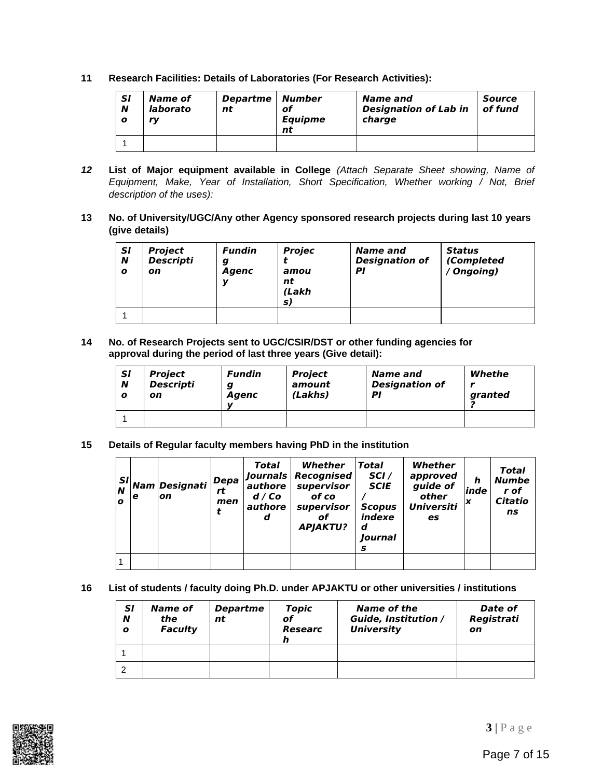**11 Research Facilities: Details of Laboratories (For Research Activities):**

| <b>SI</b><br>N<br>o | Name of<br>laborato<br>rv | Departme   Number<br>nt | of<br><b>Equipme</b><br>nt | Name and<br><b>Designation of Lab in</b><br>charge | Source<br>of fund |
|---------------------|---------------------------|-------------------------|----------------------------|----------------------------------------------------|-------------------|
|                     |                           |                         |                            |                                                    |                   |

- *12* **List of Major equipment available in College** *(Attach Separate Sheet showing, Name of Equipment, Make, Year of Installation, Short Specification, Whether working / Not, Brief description of the uses):*
- **13 No. of University/UGC/Any other Agency sponsored research projects during last 10 years (give details)**

| <b>SI</b><br>N<br>$\boldsymbol{o}$ | <b>Project</b><br><b>Descripti</b><br>on | <b>Fundin</b><br>g<br>Agenc<br>v | <b>Projec</b><br>amou<br>nt<br>(Lakh<br>S) | Name and<br><b>Designation of</b><br>ΡI | Status<br>(Completed<br>(Ongoing) |
|------------------------------------|------------------------------------------|----------------------------------|--------------------------------------------|-----------------------------------------|-----------------------------------|
|                                    |                                          |                                  |                                            |                                         |                                   |

**14 No. of Research Projects sent to UGC/CSIR/DST or other funding agencies for approval during the period of last three years (Give detail):**

| <b>SI</b><br>N<br>o | Project<br><b>Descripti</b><br>on | <b>Fundin</b><br>a<br>Agenc<br>v | <b>Project</b><br>amount<br>(Lakhs) | Name and<br><b>Designation of</b><br>ΡI | Whethe<br>granted |
|---------------------|-----------------------------------|----------------------------------|-------------------------------------|-----------------------------------------|-------------------|
|                     |                                   |                                  |                                     |                                         |                   |

**15 Details of Regular faculty members having PhD in the institution**

| N<br>o | е | $ \mathcal{S}^{\bm{I}} $ Nam $ \bm{Designati} ^2$<br>lon | $\bm{Depa}$<br>rt<br>men | <b>Total</b><br><b>Journals</b><br>authore<br>d/Co<br>authore<br>d | Whether<br>Recognised<br>supervisor<br>of co<br>supervisor<br>of<br><b>APJAKTU?</b> | Total<br>SCI/<br><b>SCIE</b><br><b>Scopus</b><br>indexe<br>d<br>Iournal<br>s | Whether<br>approved<br>guide of<br>other<br><b>Universiti</b><br>es | h<br>inde<br>ΙX | <b>Total</b><br><b>Numbe</b><br>r of<br>Citatio<br>ns |
|--------|---|----------------------------------------------------------|--------------------------|--------------------------------------------------------------------|-------------------------------------------------------------------------------------|------------------------------------------------------------------------------|---------------------------------------------------------------------|-----------------|-------------------------------------------------------|
|        |   |                                                          |                          |                                                                    |                                                                                     |                                                                              |                                                                     |                 |                                                       |

**16 List of students / faculty doing Ph.D. under APJAKTU or other universities / institutions**

| <b>SI</b><br>N<br>$\boldsymbol{o}$ | Name of<br>the<br><b>Faculty</b> | <b>Departme</b><br>nt | <b>Topic</b><br>оf<br>Researc<br>n | Name of the<br><b>Guide, Institution /</b><br><b>University</b> | Date of<br>Registrati<br>on |
|------------------------------------|----------------------------------|-----------------------|------------------------------------|-----------------------------------------------------------------|-----------------------------|
|                                    |                                  |                       |                                    |                                                                 |                             |
|                                    |                                  |                       |                                    |                                                                 |                             |



**3** | P a g e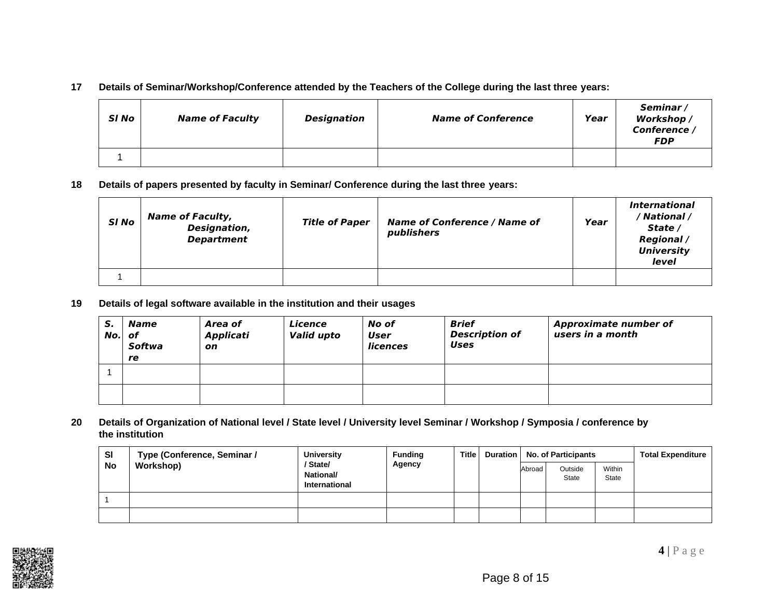#### **17 Details of Seminar/Workshop/Conference attended by the Teachers of the College during the last three years:**

| SI No | <b>Name of Faculty</b> | Designation | <b>Name of Conference</b> | Year | Seminar/<br>Workshop /<br>Conference /<br><b>FDP</b> |
|-------|------------------------|-------------|---------------------------|------|------------------------------------------------------|
| --    |                        |             |                           |      |                                                      |

**18 Details of papers presented by faculty in Seminar/ Conference during the last three years:**

| SI No | <b>Name of Faculty,</b><br>Designation,<br><b>Department</b> | <b>Title of Paper</b> | <b>Name of Conference / Name of</b><br>publishers | Year | <i><b>International</b></i><br>/ National /<br>State /<br><b>Regional</b> /<br><b>University</b><br>level |
|-------|--------------------------------------------------------------|-----------------------|---------------------------------------------------|------|-----------------------------------------------------------------------------------------------------------|
|       |                                                              |                       |                                                   |      |                                                                                                           |

**19 Details of legal software available in the institution and their usages**

| S.<br>$No.$ of | Name<br>Softwa<br>re | Area of<br>Applicati<br>on | Licence<br>Valid upto | No of<br>User<br><b>licences</b> | <b>Brief</b><br><b>Description of</b><br><b>Uses</b> | <b>Approximate number of</b><br>users in a month |
|----------------|----------------------|----------------------------|-----------------------|----------------------------------|------------------------------------------------------|--------------------------------------------------|
|                |                      |                            |                       |                                  |                                                      |                                                  |
|                |                      |                            |                       |                                  |                                                      |                                                  |

20 Details of Organization of National level / State level / University level Seminar / Workshop / Symposia / conference by **the institution**

| <b>SI</b> | <b>University</b><br>Type (Conference, Seminar / | <b>Funding</b>                                     | <b>Title</b> |  | Duration   No. of Participants |                         | <b>Total Expenditure</b> |  |
|-----------|--------------------------------------------------|----------------------------------------------------|--------------|--|--------------------------------|-------------------------|--------------------------|--|
| No        | Workshop)                                        | State/<br><b>National/</b><br><b>International</b> | Agency       |  | Abroad                         | Outside<br><b>State</b> | Within<br><b>State</b>   |  |
|           |                                                  |                                                    |              |  |                                |                         |                          |  |
|           |                                                  |                                                    |              |  |                                |                         |                          |  |

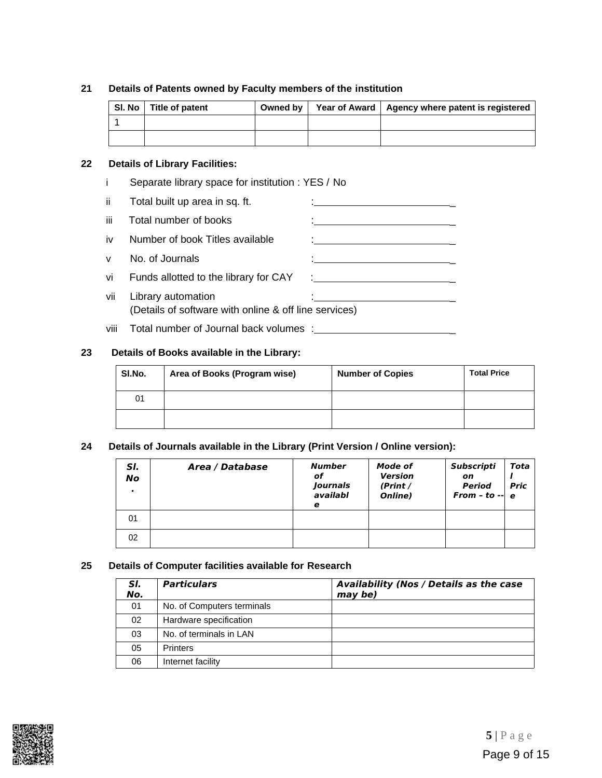#### **21 Details of Patents owned by Faculty members of the institution**

| SI. No   Title of patent | Owned by | Year of Award   Agency where patent is registered |
|--------------------------|----------|---------------------------------------------------|
|                          |          |                                                   |
|                          |          |                                                   |

#### **22 Details of Library Facilities:**

i Separate library space for institution : YES / No

| ii.  | Total built up area in sq. ft.                                              |                                          |
|------|-----------------------------------------------------------------------------|------------------------------------------|
| iii. | Total number of books                                                       |                                          |
| iv   | Number of book Titles available                                             |                                          |
| V    | No. of Journals                                                             |                                          |
| vi   | Funds allotted to the library for CAY                                       | <u> 1990 - Jan Alexandria (h. 1980).</u> |
| vii  | Library automation<br>(Details of software with online & off line services) |                                          |
| viii | Total number of Journal back volumes :                                      |                                          |

#### **23 Details of Books available in the Library:**

| SI.No. | Area of Books (Program wise) | <b>Number of Copies</b> | <b>Total Price</b> |
|--------|------------------------------|-------------------------|--------------------|
| 01     |                              |                         |                    |
|        |                              |                         |                    |

#### **24 Details of Journals available in the Library (Print Version / Online version):**

| SI.<br>No<br>$\mathbf{r}$ | Area / Database | <b>Number</b><br>of<br>Journals<br>availabl<br>е | Mode of<br><b>Version</b><br>(Print /<br>Online) | <b>Subscripti</b><br>on<br>Period<br>From - to $-$ e | Tota<br><b>Pric</b> |
|---------------------------|-----------------|--------------------------------------------------|--------------------------------------------------|------------------------------------------------------|---------------------|
| 01                        |                 |                                                  |                                                  |                                                      |                     |
| 02                        |                 |                                                  |                                                  |                                                      |                     |

#### **25 Details of Computer facilities available for Research**

| SI.<br>No. | <b>Particulars</b>         | Availability (Nos / Details as the case<br>may be) |
|------------|----------------------------|----------------------------------------------------|
| 01         | No. of Computers terminals |                                                    |
| 02         | Hardware specification     |                                                    |
| 03         | No. of terminals in LAN    |                                                    |
| 05         | <b>Printers</b>            |                                                    |
| 06         | Internet facility          |                                                    |

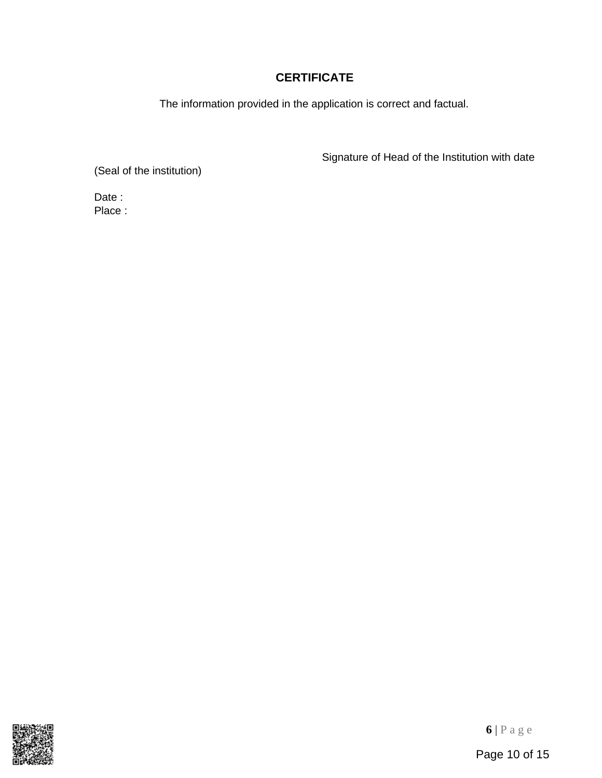# **CERTIFICATE**

The information provided in the application is correct and factual.

Signature of Head of the Institution with date

(Seal of the institution)

Date : Place :

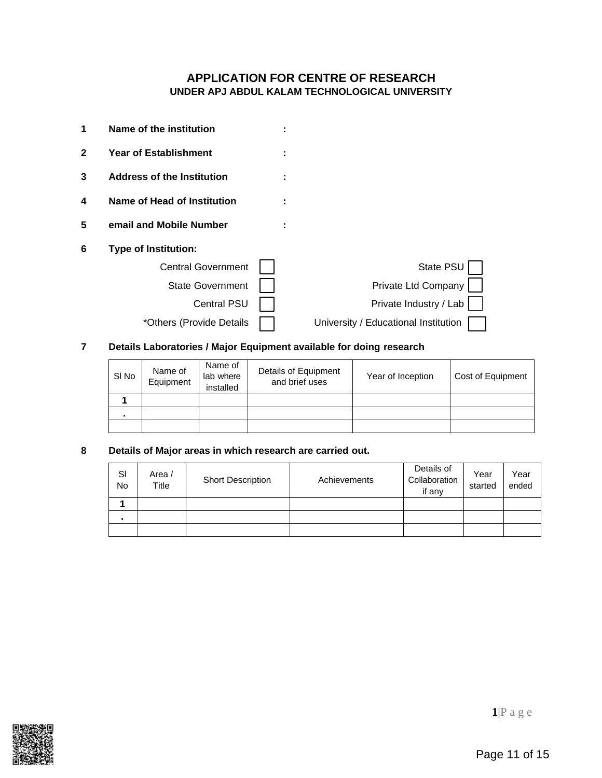### **APPLICATION FOR CENTRE OF RESEARCH UNDER APJ ABDUL KALAM TECHNOLOGICAL UNIVERSITY**

| 1              | Name of the institution           |                                      |
|----------------|-----------------------------------|--------------------------------------|
| $\overline{2}$ | <b>Year of Establishment</b>      |                                      |
| 3              | <b>Address of the Institution</b> |                                      |
| 4              | Name of Head of Institution       |                                      |
| 5              | email and Mobile Number           |                                      |
| 6              | <b>Type of Institution:</b>       |                                      |
|                | <b>Central Government</b>         | State PSU                            |
|                | <b>State Government</b>           | Private Ltd Company                  |
|                | <b>Central PSU</b>                | Private Industry / Lab               |
|                | *Others (Provide Details          | University / Educational Institution |

## **7 Details Laboratories / Major Equipment available for doing research**

| SI No | Name of<br>Equipment | Name of<br>lab where<br>installed | Details of Equipment<br>and brief uses | Year of Inception | Cost of Equipment |
|-------|----------------------|-----------------------------------|----------------------------------------|-------------------|-------------------|
|       |                      |                                   |                                        |                   |                   |
|       |                      |                                   |                                        |                   |                   |
|       |                      |                                   |                                        |                   |                   |

### **8 Details of Major areas in which research are carried out.**

| SI<br><b>No</b> | Area /<br>Title | <b>Short Description</b> | Achievements | Details of<br>Collaboration<br>if any | Year<br>started | Year<br>ended |
|-----------------|-----------------|--------------------------|--------------|---------------------------------------|-----------------|---------------|
|                 |                 |                          |              |                                       |                 |               |
| $\blacksquare$  |                 |                          |              |                                       |                 |               |
|                 |                 |                          |              |                                       |                 |               |

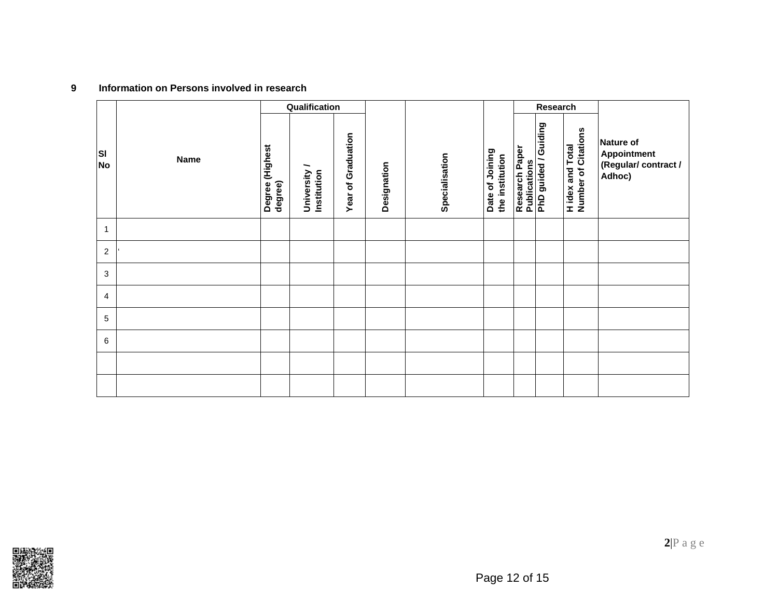## **9 Information on Persons involved in research**

|                |             |                            | Qualification             |                    |             |                |                                    |                                       | Research             |                                                |                                                          |
|----------------|-------------|----------------------------|---------------------------|--------------------|-------------|----------------|------------------------------------|---------------------------------------|----------------------|------------------------------------------------|----------------------------------------------------------|
| lsı<br>No      | <b>Name</b> | Degree (Highest<br>degree) | University<br>Institution | Year of Graduation | Designation | Specialisation | Date of Joining<br>the institution | Research Paper<br><b>Publications</b> | PhD guided / Guiding | <b>H</b> idex and Total<br>Number of Citations | Nature of<br>Appointment<br>(Regular/contract/<br>Adhoc) |
| $\mathbf{1}$   |             |                            |                           |                    |             |                |                                    |                                       |                      |                                                |                                                          |
| $\overline{c}$ |             |                            |                           |                    |             |                |                                    |                                       |                      |                                                |                                                          |
| 3              |             |                            |                           |                    |             |                |                                    |                                       |                      |                                                |                                                          |
| $\overline{4}$ |             |                            |                           |                    |             |                |                                    |                                       |                      |                                                |                                                          |
| 5              |             |                            |                           |                    |             |                |                                    |                                       |                      |                                                |                                                          |
| 6              |             |                            |                           |                    |             |                |                                    |                                       |                      |                                                |                                                          |
|                |             |                            |                           |                    |             |                |                                    |                                       |                      |                                                |                                                          |
|                |             |                            |                           |                    |             |                |                                    |                                       |                      |                                                |                                                          |

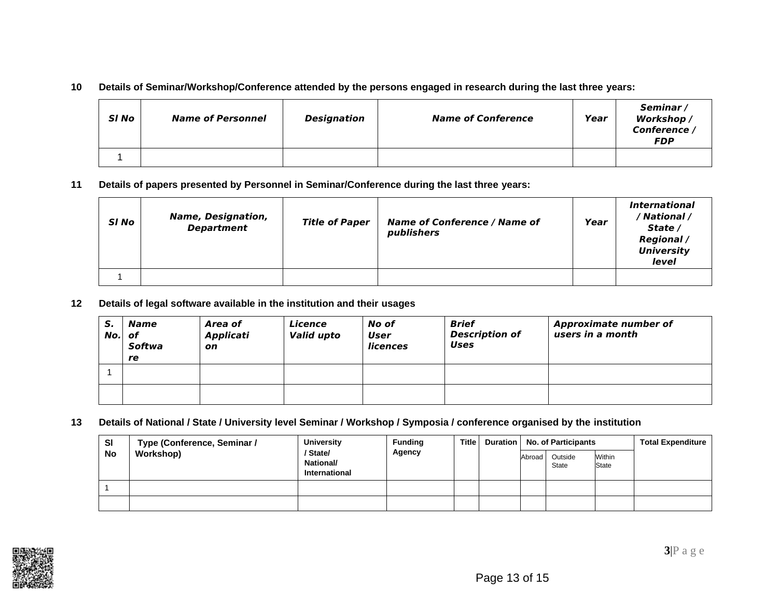#### **10 Details of Seminar/Workshop/Conference attended by the persons engaged in research during the last three years:**

| SI No | <b>Name of Personnel</b> | <b>Designation</b> | <b>Name of Conference</b> | Year | Seminar/<br>Workshop /<br>Conference /<br><b>FDP</b> |
|-------|--------------------------|--------------------|---------------------------|------|------------------------------------------------------|
|       |                          |                    |                           |      |                                                      |

**11 Details of papers presented by Personnel in Seminar/Conference during the last three years:**

| SI No | <b>Name, Designation,</b><br><b>Department</b> | <b>Title of Paper</b> | <b>Name of Conference / Name of</b><br>publishers | Year | <i><b>International</b></i><br>/ National /<br>State /<br><b>Regional</b> /<br><b>University</b><br>level |
|-------|------------------------------------------------|-----------------------|---------------------------------------------------|------|-----------------------------------------------------------------------------------------------------------|
|       |                                                |                       |                                                   |      |                                                                                                           |

**12 Details of legal software available in the institution and their usages**

| S.<br>$No.$ of | Name<br>Softwa<br>re | Area of<br>Applicati<br>on | Licence<br><b>Valid upto</b> | No of<br>User<br>licences | <b>Brief</b><br><b>Description of</b><br><b>Uses</b> | <b>Approximate number of</b><br>users in a month |
|----------------|----------------------|----------------------------|------------------------------|---------------------------|------------------------------------------------------|--------------------------------------------------|
|                |                      |                            |                              |                           |                                                      |                                                  |
|                |                      |                            |                              |                           |                                                      |                                                  |

**13 Details of National / State / University level Seminar / Workshop / Symposia / conference organised by the institution**

| <b>SI</b> | Type (Conference, Seminar / | <b>University</b><br>/ State/<br><b>National/</b><br><b>International</b> | <b>Funding</b> | Title ∣ |        | Duration   No. of Participants | <b>Total Expenditure</b> |  |
|-----------|-----------------------------|---------------------------------------------------------------------------|----------------|---------|--------|--------------------------------|--------------------------|--|
| <b>No</b> | Workshop)                   |                                                                           | Agency         |         | Abroad | Outside<br>State               | <b>Within</b><br>State   |  |
|           |                             |                                                                           |                |         |        |                                |                          |  |
|           |                             |                                                                           |                |         |        |                                |                          |  |

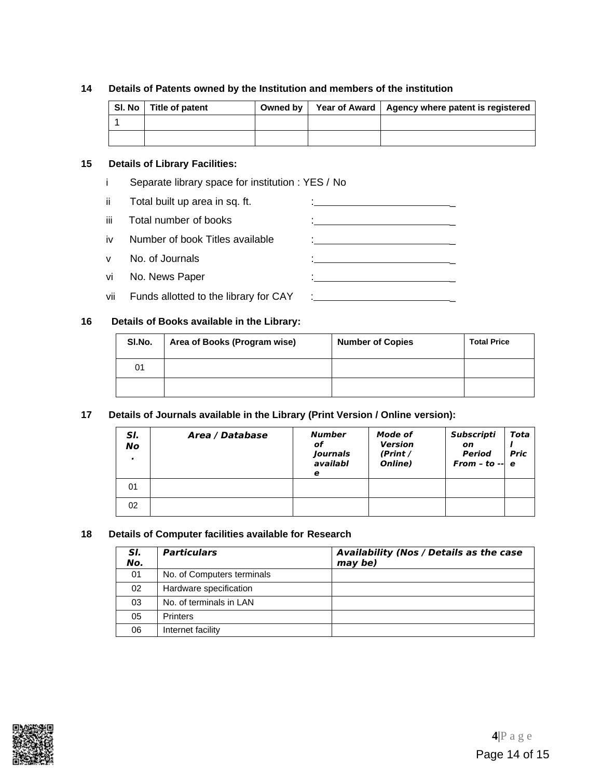#### **14 Details of Patents owned by the Institution and members of the institution**

| SI. No   Title of patent | Owned by | Year of Award   Agency where patent is registered |
|--------------------------|----------|---------------------------------------------------|
|                          |          |                                                   |
|                          |          |                                                   |

#### **15 Details of Library Facilities:**

i Separate library space for institution : YES / No

| ii.  | Total built up area in sq. ft.        |                                                     |
|------|---------------------------------------|-----------------------------------------------------|
| iii. | Total number of books                 | <u> 1989 - Andrea Stein, amerikansk politiker (</u> |
| iv   | Number of book Titles available       |                                                     |
| v    | No. of Journals                       | <u> 1986 - Johann Barbara, martin a</u>             |
| vil  | No. News Paper                        |                                                     |
| vii  | Funds allotted to the library for CAY |                                                     |

#### **16 Details of Books available in the Library:**

| SI.No. | Area of Books (Program wise) | <b>Number of Copies</b> | <b>Total Price</b> |
|--------|------------------------------|-------------------------|--------------------|
| 01     |                              |                         |                    |
|        |                              |                         |                    |

#### **17 Details of Journals available in the Library (Print Version / Online version):**

| SI.<br>No | Area / Database | <b>Number</b><br>of<br>Journals<br>availabl<br>е | Mode of<br><b>Version</b><br>(Print /<br>Online) | Subscripti<br>on<br><b>Period</b><br>From - to $-$ e | Tota<br><b>Pric</b> |
|-----------|-----------------|--------------------------------------------------|--------------------------------------------------|------------------------------------------------------|---------------------|
| 01        |                 |                                                  |                                                  |                                                      |                     |
| 02        |                 |                                                  |                                                  |                                                      |                     |

#### **18 Details of Computer facilities available for Research**

| SI.<br>No. | <b>Particulars</b>         | <b>Availability (Nos / Details as the case</b><br>may be) |
|------------|----------------------------|-----------------------------------------------------------|
| 01         | No. of Computers terminals |                                                           |
| 02         | Hardware specification     |                                                           |
| 03         | No. of terminals in LAN    |                                                           |
| 05         | <b>Printers</b>            |                                                           |
| 06         | Internet facility          |                                                           |